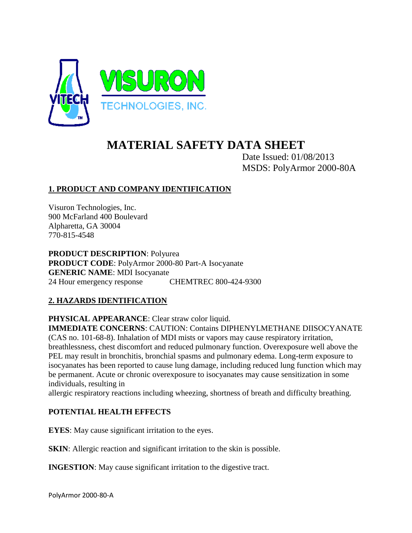

# **MATERIAL SAFETY DATA SHEET**

Date Issued: 01/08/2013 MSDS: PolyArmor 2000-80A

# **1. PRODUCT AND COMPANY IDENTIFICATION**

Visuron Technologies, Inc. 900 McFarland 400 Boulevard Alpharetta, GA 30004 770-815-4548

**PRODUCT DESCRIPTION**: Polyurea **PRODUCT CODE**: PolyArmor 2000-80 Part-A Isocyanate **GENERIC NAME**: MDI Isocyanate 24 Hour emergency response CHEMTREC 800-424-9300

#### **2. HAZARDS IDENTIFICATION**

**PHYSICAL APPEARANCE**: Clear straw color liquid. **IMMEDIATE CONCERNS**: CAUTION: Contains DIPHENYLMETHANE DIISOCYANATE (CAS no. 101-68-8). Inhalation of MDI mists or vapors may cause respiratory irritation, breathlessness, chest discomfort and reduced pulmonary function. Overexposure well above the PEL may result in bronchitis, bronchial spasms and pulmonary edema. Long-term exposure to isocyanates has been reported to cause lung damage, including reduced lung function which may be permanent. Acute or chronic overexposure to isocyanates may cause sensitization in some individuals, resulting in

allergic respiratory reactions including wheezing, shortness of breath and difficulty breathing.

#### **POTENTIAL HEALTH EFFECTS**

**EYES**: May cause significant irritation to the eyes.

**SKIN:** Allergic reaction and significant irritation to the skin is possible.

**INGESTION:** May cause significant irritation to the digestive tract.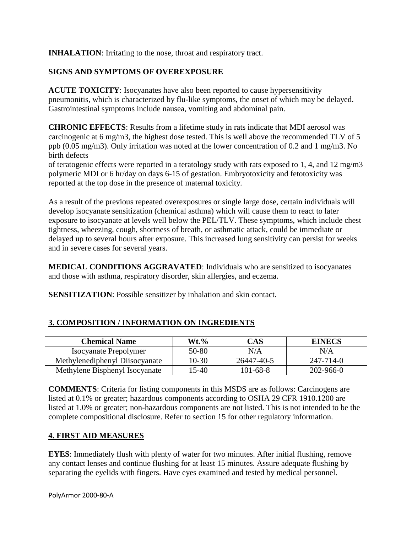**INHALATION:** Irritating to the nose, throat and respiratory tract.

## **SIGNS AND SYMPTOMS OF OVEREXPOSURE**

**ACUTE TOXICITY**: Isocyanates have also been reported to cause hypersensitivity pneumonitis, which is characterized by flu-like symptoms, the onset of which may be delayed. Gastrointestinal symptoms include nausea, vomiting and abdominal pain.

**CHRONIC EFFECTS**: Results from a lifetime study in rats indicate that MDI aerosol was carcinogenic at 6 mg/m3, the highest dose tested. This is well above the recommended TLV of 5 ppb (0.05 mg/m3). Only irritation was noted at the lower concentration of 0.2 and 1 mg/m3. No birth defects

of teratogenic effects were reported in a teratology study with rats exposed to 1, 4, and 12 mg/m3 polymeric MDI or 6 hr/day on days 6-15 of gestation. Embryotoxicity and fetotoxicity was reported at the top dose in the presence of maternal toxicity.

As a result of the previous repeated overexposures or single large dose, certain individuals will develop isocyanate sensitization (chemical asthma) which will cause them to react to later exposure to isocyanate at levels well below the PEL/TLV. These symptoms, which include chest tightness, wheezing, cough, shortness of breath, or asthmatic attack, could be immediate or delayed up to several hours after exposure. This increased lung sensitivity can persist for weeks and in severe cases for several years.

**MEDICAL CONDITIONS AGGRAVATED**: Individuals who are sensitized to isocyanates and those with asthma, respiratory disorder, skin allergies, and eczema.

**SENSITIZATION:** Possible sensitizer by inhalation and skin contact.

| <b>Chemical Name</b>           | $Wt.\%$ | CAS        | <b>EINECS</b> |
|--------------------------------|---------|------------|---------------|
| <b>Isocyanate Prepolymer</b>   | 50-80   | N/A        | N/A           |
| Methylenediphenyl Diisocyanate | 10-30   | 26447-40-5 | 247-714-0     |

#### **3. COMPOSITION / INFORMATION ON INGREDIENTS**

**COMMENTS**: Criteria for listing components in this MSDS are as follows: Carcinogens are listed at 0.1% or greater; hazardous components according to OSHA 29 CFR 1910.1200 are listed at 1.0% or greater; non-hazardous components are not listed. This is not intended to be the complete compositional disclosure. Refer to section 15 for other regulatory information.

Methylene Bisphenyl Isocyanate | 15-40 | 101-68-8 | 202-966-0

#### **4. FIRST AID MEASURES**

**EYES**: Immediately flush with plenty of water for two minutes. After initial flushing, remove any contact lenses and continue flushing for at least 15 minutes. Assure adequate flushing by separating the eyelids with fingers. Have eyes examined and tested by medical personnel.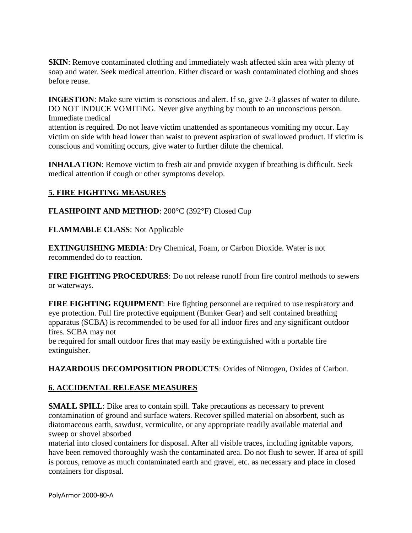**SKIN**: Remove contaminated clothing and immediately wash affected skin area with plenty of soap and water. Seek medical attention. Either discard or wash contaminated clothing and shoes before reuse.

**INGESTION**: Make sure victim is conscious and alert. If so, give 2-3 glasses of water to dilute. DO NOT INDUCE VOMITING. Never give anything by mouth to an unconscious person. Immediate medical

attention is required. Do not leave victim unattended as spontaneous vomiting my occur. Lay victim on side with head lower than waist to prevent aspiration of swallowed product. If victim is conscious and vomiting occurs, give water to further dilute the chemical.

**INHALATION**: Remove victim to fresh air and provide oxygen if breathing is difficult. Seek medical attention if cough or other symptoms develop.

#### **5. FIRE FIGHTING MEASURES**

**FLASHPOINT AND METHOD**: 200°C (392°F) Closed Cup

**FLAMMABLE CLASS**: Not Applicable

**EXTINGUISHING MEDIA**: Dry Chemical, Foam, or Carbon Dioxide. Water is not recommended do to reaction.

**FIRE FIGHTING PROCEDURES**: Do not release runoff from fire control methods to sewers or waterways.

**FIRE FIGHTING EQUIPMENT**: Fire fighting personnel are required to use respiratory and eye protection. Full fire protective equipment (Bunker Gear) and self contained breathing apparatus (SCBA) is recommended to be used for all indoor fires and any significant outdoor fires. SCBA may not

be required for small outdoor fires that may easily be extinguished with a portable fire extinguisher.

**HAZARDOUS DECOMPOSITION PRODUCTS**: Oxides of Nitrogen, Oxides of Carbon.

# **6. ACCIDENTAL RELEASE MEASURES**

**SMALL SPILL**: Dike area to contain spill. Take precautions as necessary to prevent contamination of ground and surface waters. Recover spilled material on absorbent, such as diatomaceous earth, sawdust, vermiculite, or any appropriate readily available material and sweep or shovel absorbed

material into closed containers for disposal. After all visible traces, including ignitable vapors, have been removed thoroughly wash the contaminated area. Do not flush to sewer. If area of spill is porous, remove as much contaminated earth and gravel, etc. as necessary and place in closed containers for disposal.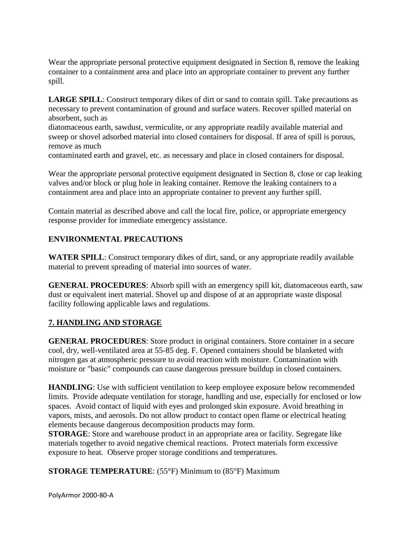Wear the appropriate personal protective equipment designated in Section 8, remove the leaking container to a containment area and place into an appropriate container to prevent any further spill.

**LARGE SPILL**: Construct temporary dikes of dirt or sand to contain spill. Take precautions as necessary to prevent contamination of ground and surface waters. Recover spilled material on absorbent, such as

diatomaceous earth, sawdust, vermiculite, or any appropriate readily available material and sweep or shovel adsorbed material into closed containers for disposal. If area of spill is porous, remove as much

contaminated earth and gravel, etc. as necessary and place in closed containers for disposal.

Wear the appropriate personal protective equipment designated in Section 8, close or cap leaking valves and/or block or plug hole in leaking container. Remove the leaking containers to a containment area and place into an appropriate container to prevent any further spill.

Contain material as described above and call the local fire, police, or appropriate emergency response provider for immediate emergency assistance.

# **ENVIRONMENTAL PRECAUTIONS**

**WATER SPILL**: Construct temporary dikes of dirt, sand, or any appropriate readily available material to prevent spreading of material into sources of water.

**GENERAL PROCEDURES**: Absorb spill with an emergency spill kit, diatomaceous earth, saw dust or equivalent inert material. Shovel up and dispose of at an appropriate waste disposal facility following applicable laws and regulations.

# **7. HANDLING AND STORAGE**

**GENERAL PROCEDURES**: Store product in original containers. Store container in a secure cool, dry, well-ventilated area at 55-85 deg. F. Opened containers should be blanketed with nitrogen gas at atmospheric pressure to avoid reaction with moisture. Contamination with moisture or "basic" compounds can cause dangerous pressure buildup in closed containers.

**HANDLING**: Use with sufficient ventilation to keep employee exposure below recommended limits. Provide adequate ventilation for storage, handling and use, especially for enclosed or low spaces. Avoid contact of liquid with eyes and prolonged skin exposure. Avoid breathing in vapors, mists, and aerosols. Do not allow product to contact open flame or electrical heating elements because dangerous decomposition products may form.

**STORAGE**: Store and warehouse product in an appropriate area or facility. Segregate like materials together to avoid negative chemical reactions. Protect materials form excessive exposure to heat. Observe proper storage conditions and temperatures.

**STORAGE TEMPERATURE**: (55°F) Minimum to (85°F) Maximum

PolyArmor 2000-80-A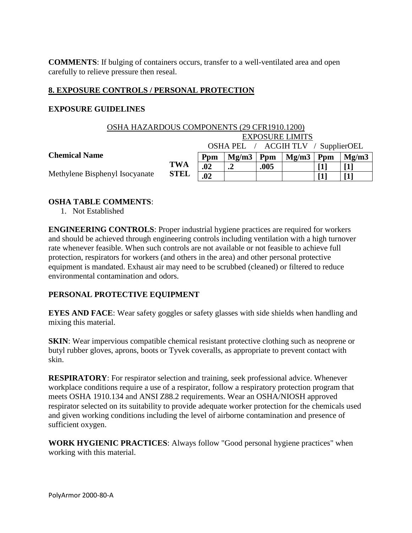**COMMENTS**: If bulging of containers occurs, transfer to a well-ventilated area and open carefully to relieve pressure then reseal.

## **8. EXPOSURE CONTROLS / PERSONAL PROTECTION**

#### **EXPOSURE GUIDELINES**

| OSHA HAZARDOUS COMPONENTS (29 CFR1910.1200) |                                    |                        |       |      |       |     |       |
|---------------------------------------------|------------------------------------|------------------------|-------|------|-------|-----|-------|
|                                             |                                    | <b>EXPOSURE LIMITS</b> |       |      |       |     |       |
|                                             | OSHA PEL / ACGIH TLV / SupplierOEL |                        |       |      |       |     |       |
| <b>Chemical Name</b>                        |                                    | Ppm                    | Mg/m3 | Ppm  | Mg/m3 | Ppm | Mg/m3 |
| Methylene Bisphenyl Isocyanate              | <b>TWA</b>                         | .02                    | .2    | .005 |       |     |       |
|                                             | <b>STEL</b>                        | .02                    |       |      |       |     |       |

#### **OSHA TABLE COMMENTS**:

1. Not Established

**ENGINEERING CONTROLS**: Proper industrial hygiene practices are required for workers and should be achieved through engineering controls including ventilation with a high turnover rate whenever feasible. When such controls are not available or not feasible to achieve full protection, respirators for workers (and others in the area) and other personal protective equipment is mandated. Exhaust air may need to be scrubbed (cleaned) or filtered to reduce environmental contamination and odors.

#### **PERSONAL PROTECTIVE EQUIPMENT**

**EYES AND FACE**: Wear safety goggles or safety glasses with side shields when handling and mixing this material.

**SKIN**: Wear impervious compatible chemical resistant protective clothing such as neoprene or butyl rubber gloves, aprons, boots or Tyvek coveralls, as appropriate to prevent contact with skin.

**RESPIRATORY**: For respirator selection and training, seek professional advice. Whenever workplace conditions require a use of a respirator, follow a respiratory protection program that meets OSHA 1910.134 and ANSI Z88.2 requirements. Wear an OSHA/NIOSH approved respirator selected on its suitability to provide adequate worker protection for the chemicals used and given working conditions including the level of airborne contamination and presence of sufficient oxygen.

**WORK HYGIENIC PRACTICES**: Always follow "Good personal hygiene practices" when working with this material.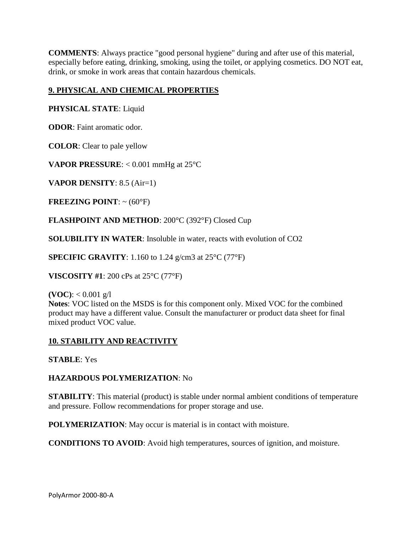**COMMENTS**: Always practice "good personal hygiene" during and after use of this material, especially before eating, drinking, smoking, using the toilet, or applying cosmetics. DO NOT eat, drink, or smoke in work areas that contain hazardous chemicals.

# **9. PHYSICAL AND CHEMICAL PROPERTIES**

#### **PHYSICAL STATE**: Liquid

**ODOR**: Faint aromatic odor.

**COLOR**: Clear to pale yellow

**VAPOR PRESSURE:** < 0.001 mmHg at 25°C

**VAPOR DENSITY**: 8.5 (Air=1)

**FREEZING POINT:**  $\sim$  (60 $^{\circ}$ F)

**FLASHPOINT AND METHOD**: 200°C (392°F) Closed Cup

**SOLUBILITY IN WATER**: Insoluble in water, reacts with evolution of CO2

**SPECIFIC GRAVITY**: 1.160 to 1.24 g/cm3 at 25°C (77°F)

**VISCOSITY #1**: 200 cPs at 25°C (77°F)

**(VOC):**  $< 0.001$  g/l

**Notes**: VOC listed on the MSDS is for this component only. Mixed VOC for the combined product may have a different value. Consult the manufacturer or product data sheet for final mixed product VOC value.

#### **10. STABILITY AND REACTIVITY**

**STABLE**: Yes

**HAZARDOUS POLYMERIZATION**: No

**STABILITY:** This material (product) is stable under normal ambient conditions of temperature and pressure. Follow recommendations for proper storage and use.

**POLYMERIZATION:** May occur is material is in contact with moisture.

**CONDITIONS TO AVOID**: Avoid high temperatures, sources of ignition, and moisture.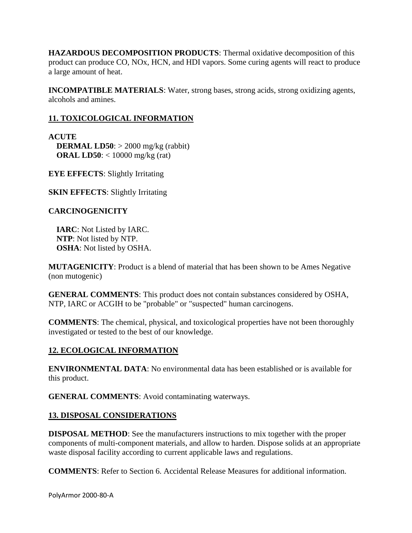**HAZARDOUS DECOMPOSITION PRODUCTS**: Thermal oxidative decomposition of this product can produce CO, NOx, HCN, and HDI vapors. Some curing agents will react to produce a large amount of heat.

**INCOMPATIBLE MATERIALS**: Water, strong bases, strong acids, strong oxidizing agents, alcohols and amines.

# **11. TOXICOLOGICAL INFORMATION**

**ACUTE DERMAL LD50**: > 2000 mg/kg (rabbit)  **ORAL LD50**: < 10000 mg/kg (rat)

**EYE EFFECTS**: Slightly Irritating

**SKIN EFFECTS:** Slightly Irritating

# **CARCINOGENICITY**

 **IARC**: Not Listed by IARC. **NTP**: Not listed by NTP. **OSHA**: Not listed by OSHA.

**MUTAGENICITY**: Product is a blend of material that has been shown to be Ames Negative (non mutogenic)

**GENERAL COMMENTS**: This product does not contain substances considered by OSHA, NTP, IARC or ACGIH to be "probable" or "suspected" human carcinogens.

**COMMENTS**: The chemical, physical, and toxicological properties have not been thoroughly investigated or tested to the best of our knowledge.

# **12. ECOLOGICAL INFORMATION**

**ENVIRONMENTAL DATA**: No environmental data has been established or is available for this product.

**GENERAL COMMENTS**: Avoid contaminating waterways.

# **13. DISPOSAL CONSIDERATIONS**

**DISPOSAL METHOD**: See the manufacturers instructions to mix together with the proper components of multi-component materials, and allow to harden. Dispose solids at an appropriate waste disposal facility according to current applicable laws and regulations.

**COMMENTS**: Refer to Section 6. Accidental Release Measures for additional information.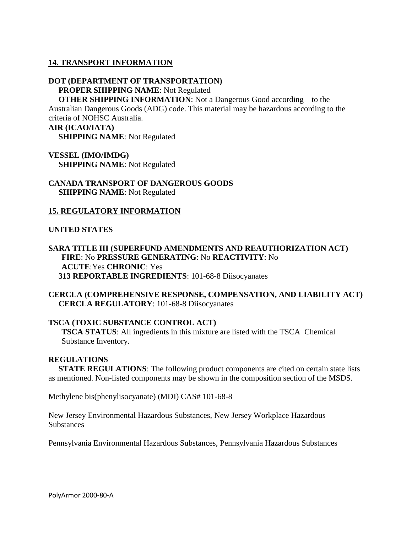#### **14. TRANSPORT INFORMATION**

# **DOT (DEPARTMENT OF TRANSPORTATION) PROPER SHIPPING NAME**: Not Regulated

**OTHER SHIPPING INFORMATION:** Not a Dangerous Good according to the Australian Dangerous Goods (ADG) code. This material may be hazardous according to the criteria of NOHSC Australia. **AIR (ICAO/IATA)**

 **SHIPPING NAME**: Not Regulated

#### **VESSEL (IMO/IMDG) SHIPPING NAME**: Not Regulated

#### **CANADA TRANSPORT OF DANGEROUS GOODS SHIPPING NAME**: Not Regulated

#### **15. REGULATORY INFORMATION**

#### **UNITED STATES**

#### **SARA TITLE III (SUPERFUND AMENDMENTS AND REAUTHORIZATION ACT) FIRE**: No **PRESSURE GENERATING**: No **REACTIVITY**: No **ACUTE**:Yes **CHRONIC**: Yes  **313 REPORTABLE INGREDIENTS**: 101-68-8 Diisocyanates

**CERCLA (COMPREHENSIVE RESPONSE, COMPENSATION, AND LIABILITY ACT) CERCLA REGULATORY**: 101-68-8 Diisocyanates

#### **TSCA (TOXIC SUBSTANCE CONTROL ACT)**

**TSCA STATUS**: All ingredients in this mixture are listed with the TSCA Chemical Substance Inventory.

#### **REGULATIONS**

 **STATE REGULATIONS**: The following product components are cited on certain state lists as mentioned. Non-listed components may be shown in the composition section of the MSDS.

Methylene bis(phenylisocyanate) (MDI) CAS# 101-68-8

New Jersey Environmental Hazardous Substances, New Jersey Workplace Hazardous **Substances** 

Pennsylvania Environmental Hazardous Substances, Pennsylvania Hazardous Substances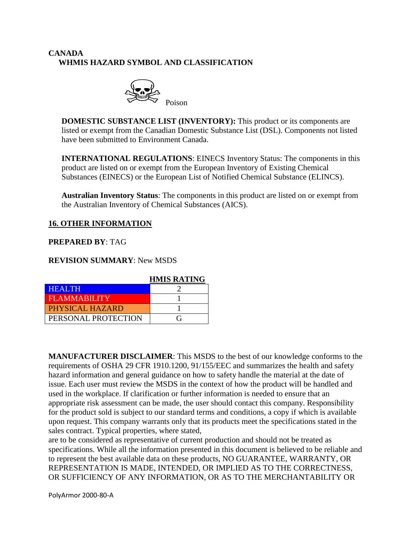# **CANADA WHMIS HAZARD SYMBOL AND CLASSIFICATION**



**DOMESTIC SUBSTANCE LIST (INVENTORY):** This product or its components are listed or exempt from the Canadian Domestic Substance List (DSL). Components not listed have been submitted to Environment Canada.

**INTERNATIONAL REGULATIONS**: EINECS Inventory Status: The components in this product are listed on or exempt from the European Inventory of Existing Chemical Substances (EINECS) or the European List of Notified Chemical Substance (ELINCS).

**Australian Inventory Status**: The components in this product are listed on or exempt from the Australian Inventory of Chemical Substances (AICS).

#### **16. OTHER INFORMATION**

#### **PREPARED BY**: TAG

#### **REVISION SUMMARY**: New MSDS

|                        | <b>HMIS RATING</b> |
|------------------------|--------------------|
| <b>HEALTH</b>          |                    |
| <b>FLAMMABILITY</b>    |                    |
| <b>PHYSICAL HAZARD</b> |                    |
| PERSONAL PROTECTION    | ( ÷                |

**MANUFACTURER DISCLAIMER**: This MSDS to the best of our knowledge conforms to the requirements of OSHA 29 CFR 1910.1200, 91/155/EEC and summarizes the health and safety hazard information and general guidance on how to safety handle the material at the date of issue. Each user must review the MSDS in the context of how the product will be handled and used in the workplace. If clarification or further information is needed to ensure that an appropriate risk assessment can be made, the user should contact this company. Responsibility for the product sold is subject to our standard terms and conditions, a copy if which is available upon request. This company warrants only that its products meet the specifications stated in the sales contract. Typical properties, where stated,

are to be considered as representative of current production and should not be treated as specifications. While all the information presented in this document is believed to be reliable and to represent the best available data on these products, NO GUARANTEE, WARRANTY, OR REPRESENTATION IS MADE, INTENDED, OR IMPLIED AS TO THE CORRECTNESS, OR SUFFICIENCY OF ANY INFORMATION, OR AS TO THE MERCHANTABILITY OR